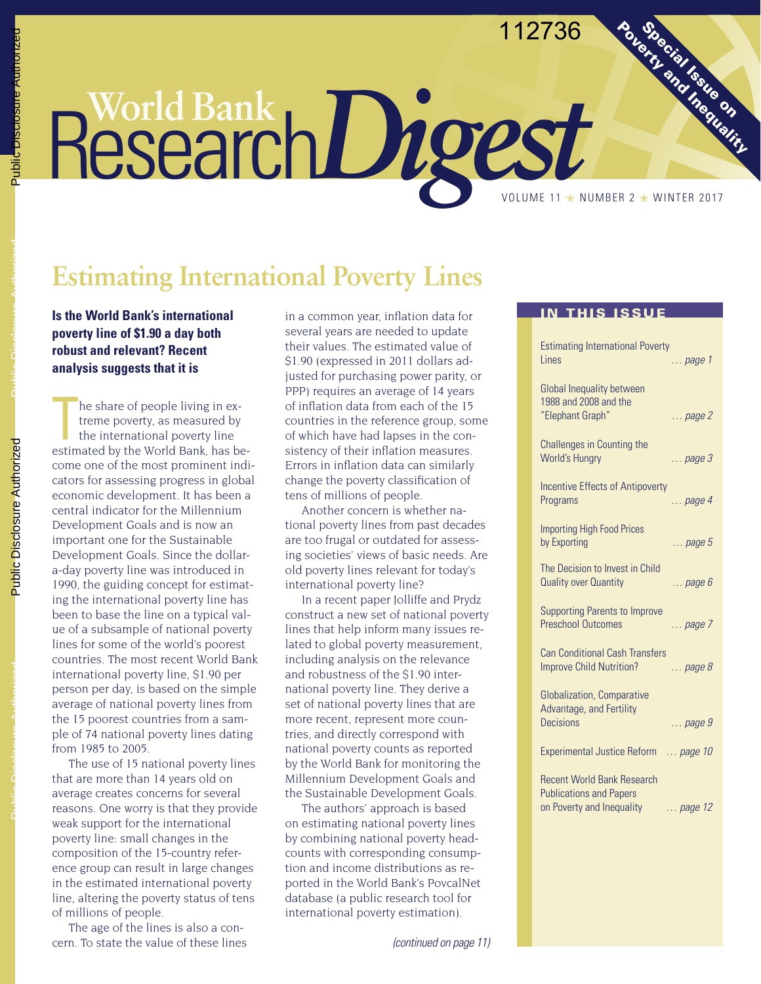#### 112736

**Southern and Indianaction** 

# **Estimating International Poverty Lines**

**Is the World Bank's international In a common year, inflation data for IN THIS ISSUE poverty line of \$1.90 a day both robust and relevant? Recent analysis suggests that it is**

he share of people living in ex-<br>treme poverty, as measured by<br>the international poverty line<br>estimated by the World Bank, has behe share of people living in extreme poverty, as measured by the international poverty line come one of the most prominent indicators for assessing progress in global economic development. It has been a central indicator for the Millennium Development Goals and is now an important one for the Sustainable Development Goals. Since the dollara-day poverty line was introduced in 1990, the guiding concept for estimating the international poverty line has been to base the line on a typical value of a subsample of national poverty lines for some of the world's poorest countries. The most recent World Bank international poverty line, \$1.90 per person per day, is based on the simple average of national poverty lines from the 15 poorest countries from a sample of 74 national poverty lines dating from 1985 to 2005.

The use of 15 national poverty lines that are more than 14 years old on average creates concerns for several reasons. One worry is that they provide weak support for the international poverty line: small changes in the composition of the 15-country reference group can result in large changes in the estimated international poverty line, altering the poverty status of tens of millions of people.

The age of the lines is also a concern. To state the value of these lines several years are needed to update their values. The estimated value of \$1.90 (expressed in 2011 dollars adjusted for purchasing power parity, or PPP) requires an average of 14 years of inflation data from each of the 15 countries in the reference group, some of which have had lapses in the consistency of their inflation measures. Errors in inflation data can similarly change the poverty classification of tens of millions of people.

ResearchDigest

Another concern is whether national poverty lines from past decades are too frugal or outdated for assessing societies' views of basic needs. Are old poverty lines relevant for today's international poverty line?

In a recent paper Jolliffe and Prydz construct a new set of national poverty lines that help inform many issues related to global poverty measurement, including analysis on the relevance and robustness of the \$1.90 international poverty line. They derive a set of national poverty lines that are more recent, represent more countries, and directly correspond with national poverty counts as reported by the World Bank for monitoring the Millennium Development Goals and the Sustainable Development Goals.

The authors' approach is based on estimating national poverty lines by combining national poverty headcounts with corresponding consumption and income distributions as reported in the World Bank's PovcalNet database (a public research tool for international poverty estimation).

| <b>THIS ISSUE</b>                                                                                                    |
|----------------------------------------------------------------------------------------------------------------------|
| <b>Estimating International Poverty</b><br><b>l</b> ines<br>$\ldots$ page 1                                          |
| <b>Global Inequality between</b><br>1988 and 2008 and the<br>"Elephant Graph"<br>$\ldots$ page 2                     |
| <b>Challenges in Counting the</b><br>World's Hungry<br>$\ldots$ page 3                                               |
| <b>Incentive Effects of Antipoverty</b><br>Programs<br>$\ldots$ page 4                                               |
| <b>Importing High Food Prices</b><br>by Exporting<br>$\ldots$ page 5                                                 |
| The Decision to Invest in Child<br>Quality over Quantity<br>$\ldots$ page $6$                                        |
| <b>Supporting Parents to Improve</b><br><b>Preschool Outcomes</b><br>page 7                                          |
| <b>Can Conditional Cash Transfers</b><br><b>Improve Child Nutrition?</b><br>$\ldots$ page 8                          |
| <b>Globalization, Comparative</b><br>Advantage, and Fertility<br><b>Decisions</b><br>$\ldots$ page 9                 |
| <b>Experimental Justice Reform</b><br>page 10                                                                        |
| <b>Recent World Bank Research</b><br><b>Publications and Papers</b><br>on Poverty and Inequality<br>$\ldots$ page 12 |

Public Disclosure Authorized

Public Disclosure Authorized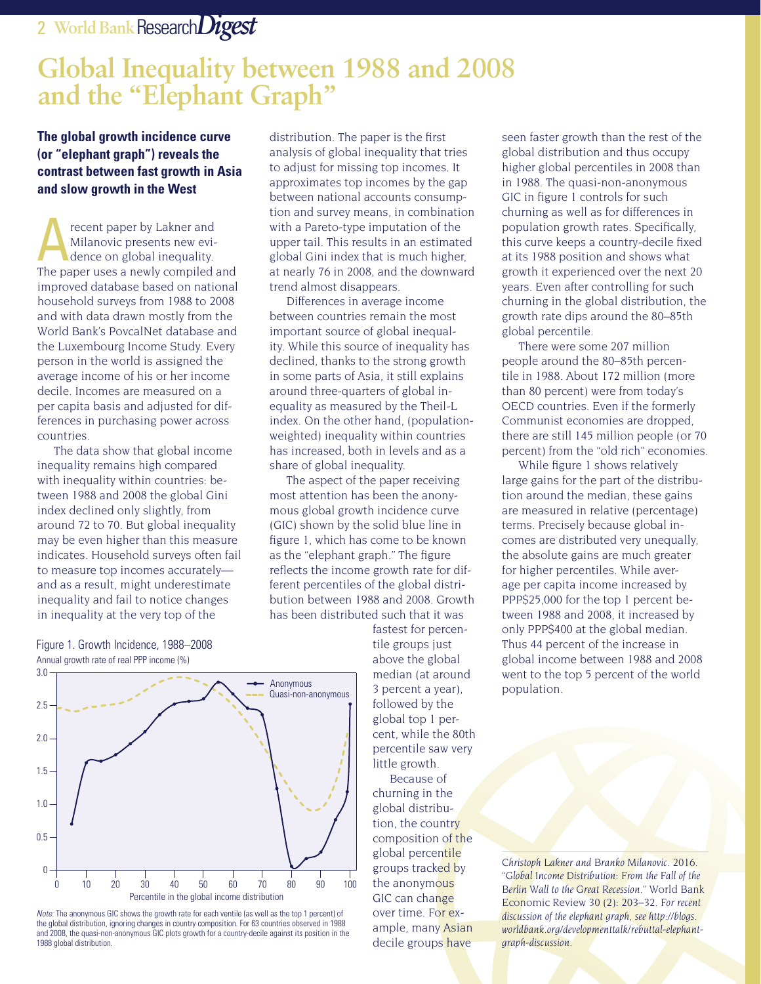# **Global Inequality between 1988 and 2008 and the "Elephant Graph"**

#### **The global growth incidence curve (or "elephant graph") reveals the contrast between fast growth in Asia and slow growth in the West**

recent paper by Lakner and Milanovic presents new evidence on global inequality. The paper uses a newly compiled and improved database based on national household surveys from 1988 to 2008 and with data drawn mostly from the World Bank's PovcalNet database and the Luxembourg Income Study. Every person in the world is assigned the average income of his or her income decile. Incomes are measured on a per capita basis and adjusted for differences in purchasing power across countries.

The data show that global income inequality remains high compared with inequality within countries: between 1988 and 2008 the global Gini index declined only slightly, from around 72 to 70. But global inequality may be even higher than this measure indicates. Household surveys often fail to measure top incomes accurately and as a result, might underestimate inequality and fail to notice changes in inequality at the very top of the

distribution. The paper is the first analysis of global inequality that tries to adjust for missing top incomes. It approximates top incomes by the gap between national accounts consumption and survey means, in combination with a Pareto-type imputation of the upper tail. This results in an estimated global Gini index that is much higher, at nearly 76 in 2008, and the downward trend almost disappears.

Differences in average income between countries remain the most important source of global inequality. While this source of inequality has declined, thanks to the strong growth in some parts of Asia, it still explains around three-quarters of global inequality as measured by the Theil-L index. On the other hand, (populationweighted) inequality within countries has increased, both in levels and as a share of global inequality.

The aspect of the paper receiving most attention has been the anonymous global growth incidence curve (GIC) shown by the solid blue line in figure 1, which has come to be known as the "elephant graph." The figure reflects the income growth rate for different percentiles of the global distribution between 1988 and 2008. Growth has been distributed such that it was

> fastest for percentile groups just above the global median (at around 3 percent a year), followed by the global top 1 percent, while the 80th percentile saw very little growth.

Because of churning in the global distribution, the country composition of the global percentile groups tracked by the anonymous GIC can change over time. For example, many Asian decile groups have

seen faster growth than the rest of the global distribution and thus occupy higher global percentiles in 2008 than in 1988. The quasi-non-anonymous GIC in figure 1 controls for such churning as well as for differences in population growth rates. Specifically, this curve keeps a country-decile fixed at its 1988 position and shows what growth it experienced over the next 20 years. Even after controlling for such churning in the global distribution, the growth rate dips around the 80–85th global percentile.

There were some 207 million people around the 80–85th percentile in 1988. About 172 million (more than 80 percent) were from today's OECD countries. Even if the formerly Communist economies are dropped, there are still 145 million people (or 70 percent) from the "old rich" economies.

While figure 1 shows relatively large gains for the part of the distribution around the median, these gains are measured in relative (percentage) terms. Precisely because global incomes are distributed very unequally, the absolute gains are much greater for higher percentiles. While average per capita income increased by PPP\$25,000 for the top 1 percent between 1988 and 2008, it increased by only PPP\$400 at the global median. Thus 44 percent of the increase in global income between 1988 and 2008 went to the top 5 percent of the world population.

*Christoph Lakner and Branko Milanovic. 2016. "Global Income Distribution: From the Fall of the Berlin Wall to the Great Recession."* World Bank Economic Review *30 (2): 203–32. For recent discussion of the elephant graph, see http://blogs. worldbank.org/developmenttalk/rebuttal-elephantgraph-discussion.*





*Note:* The anonymous GIC shows the growth rate for each ventile (as well as the top 1 percent) of the global distribution, ignoring changes in country composition. For 63 countries observed in 1988 and 2008, the quasi-non-anonymous GIC plots growth for a country-decile against its position in the 1988 global distribution.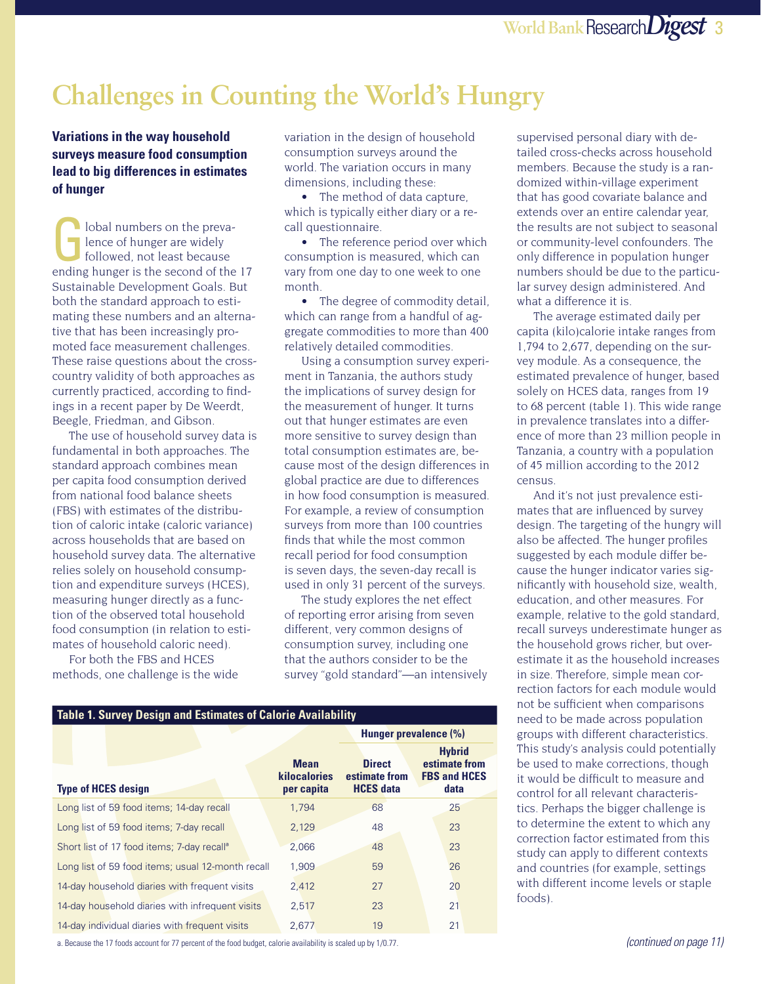# **Challenges in Counting the World's Hungry**

**Variations in the way household surveys measure food consumption lead to big differences in estimates of hunger**

I lobal numbers on the prevalence of hunger are widely followed, not least because ending hunger is the second of the 17 Sustainable Development Goals. But both the standard approach to estimating these numbers and an alternative that has been increasingly promoted face measurement challenges. These raise questions about the crosscountry validity of both approaches as currently practiced, according to findings in a recent paper by De Weerdt, Beegle, Friedman, and Gibson.

The use of household survey data is fundamental in both approaches. The standard approach combines mean per capita food consumption derived from national food balance sheets (FBS) with estimates of the distribution of caloric intake (caloric variance) across households that are based on household survey data. The alternative relies solely on household consumption and expenditure surveys (HCES), measuring hunger directly as a function of the observed total household food consumption (in relation to estimates of household caloric need).

For both the FBS and HCES methods, one challenge is the wide variation in the design of household consumption surveys around the world. The variation occurs in many dimensions, including these:

• The method of data capture, which is typically either diary or a recall questionnaire.

• The reference period over which consumption is measured, which can vary from one day to one week to one month.

• The degree of commodity detail, which can range from a handful of aggregate commodities to more than 400 relatively detailed commodities.

Using a consumption survey experiment in Tanzania, the authors study the implications of survey design for the measurement of hunger. It turns out that hunger estimates are even more sensitive to survey design than total consumption estimates are, because most of the design differences in global practice are due to differences in how food consumption is measured. For example, a review of consumption surveys from more than 100 countries finds that while the most common recall period for food consumption is seven days, the seven-day recall is used in only 31 percent of the surveys.

The study explores the net effect of reporting error arising from seven different, very common designs of consumption survey, including one that the authors consider to be the survey "gold standard"—an intensively

| <b>Table 1. Survey Design and Estimates of Calorie Availability</b> |                                                  |                                                    |                                                               |  |  |
|---------------------------------------------------------------------|--------------------------------------------------|----------------------------------------------------|---------------------------------------------------------------|--|--|
|                                                                     |                                                  | Hunger prevalence (%)                              |                                                               |  |  |
| <b>Type of HCES design</b>                                          | <b>Mean</b><br><b>kilocalories</b><br>per capita | <b>Direct</b><br>estimate from<br><b>HCES</b> data | <b>Hybrid</b><br>estimate from<br><b>FBS and HCES</b><br>data |  |  |
| Long list of 59 food items; 14-day recall                           | 1,794                                            | 68                                                 | 25                                                            |  |  |
| Long list of 59 food items; 7-day recall                            | 2,129                                            | 48                                                 | 23                                                            |  |  |
| Short list of 17 food items; 7-day recall <sup>a</sup>              | 2,066                                            | 48                                                 | 23                                                            |  |  |
| Long list of 59 food items; usual 12-month recall                   | 1,909                                            | 59                                                 | 26                                                            |  |  |
| 14-day household diaries with frequent visits                       | 2,412                                            | 27                                                 | 20                                                            |  |  |
| 14-day household diaries with infrequent visits                     | 2,517                                            | 23                                                 | 21                                                            |  |  |
| 14-day individual diaries with frequent visits                      | 2,677                                            | 19                                                 | 21                                                            |  |  |

a. Because the 17 foods account for 77 percent of the food budget, calorie availability is scaled up by 1/0.77.

supervised personal diary with detailed cross-checks across household members. Because the study is a randomized within-village experiment that has good covariate balance and extends over an entire calendar year, the results are not subject to seasonal or community-level confounders. The only difference in population hunger numbers should be due to the particular survey design administered. And what a difference it is.

The average estimated daily per capita (kilo)calorie intake ranges from 1,794 to 2,677, depending on the survey module. As a consequence, the estimated prevalence of hunger, based solely on HCES data, ranges from 19 to 68 percent (table 1). This wide range in prevalence translates into a difference of more than 23 million people in Tanzania, a country with a population of 45 million according to the 2012 census.

And it's not just prevalence estimates that are influenced by survey design. The targeting of the hungry will also be affected. The hunger profiles suggested by each module differ because the hunger indicator varies significantly with household size, wealth, education, and other measures. For example, relative to the gold standard, recall surveys underestimate hunger as the household grows richer, but overestimate it as the household increases in size. Therefore, simple mean correction factors for each module would not be sufficient when comparisons need to be made across population groups with different characteristics. This study's analysis could potentially be used to make corrections, though it would be difficult to measure and control for all relevant characteristics. Perhaps the bigger challenge is to determine the extent to which any correction factor estimated from this study can apply to different contexts and countries (for example, settings with different income levels or staple foods).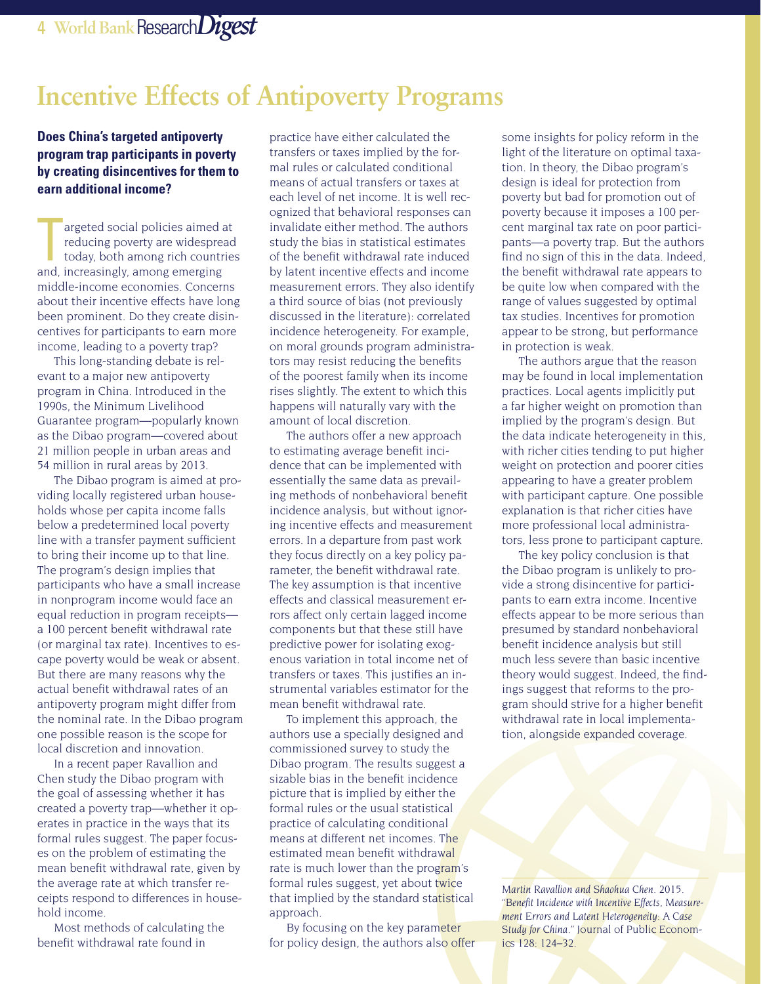# **Incentive Effects of Antipoverty Programs**

#### **Does China's targeted antipoverty program trap participants in poverty by creating disincentives for them to earn additional income?**

argeted social policies aimed a<br>
reducing poverty are widespreached and, increasingly, among emerging argeted social policies aimed at reducing poverty are widespread today, both among rich countries middle-income economies. Concerns about their incentive effects have long been prominent. Do they create disincentives for participants to earn more income, leading to a poverty trap?

This long-standing debate is relevant to a major new antipoverty program in China. Introduced in the 1990s, the Minimum Livelihood Guarantee program—popularly known as the Dibao program—covered about 21 million people in urban areas and 54 million in rural areas by 2013.

The Dibao program is aimed at providing locally registered urban households whose per capita income falls below a predetermined local poverty line with a transfer payment sufficient to bring their income up to that line. The program's design implies that participants who have a small increase in nonprogram income would face an equal reduction in program receipts a 100 percent benefit withdrawal rate (or marginal tax rate). Incentives to escape poverty would be weak or absent. But there are many reasons why the actual benefit withdrawal rates of an antipoverty program might differ from the nominal rate. In the Dibao program one possible reason is the scope for local discretion and innovation.

In a recent paper Ravallion and Chen study the Dibao program with the goal of assessing whether it has created a poverty trap—whether it operates in practice in the ways that its formal rules suggest. The paper focuses on the problem of estimating the mean benefit withdrawal rate, given by the average rate at which transfer receipts respond to differences in household income.

Most methods of calculating the benefit withdrawal rate found in

practice have either calculated the transfers or taxes implied by the formal rules or calculated conditional means of actual transfers or taxes at each level of net income. It is well recognized that behavioral responses can invalidate either method. The authors study the bias in statistical estimates of the benefit withdrawal rate induced by latent incentive effects and income measurement errors. They also identify a third source of bias (not previously discussed in the literature): correlated incidence heterogeneity. For example, on moral grounds program administrators may resist reducing the benefits of the poorest family when its income rises slightly. The extent to which this happens will naturally vary with the amount of local discretion.

The authors offer a new approach to estimating average benefit incidence that can be implemented with essentially the same data as prevailing methods of nonbehavioral benefit incidence analysis, but without ignoring incentive effects and measurement errors. In a departure from past work they focus directly on a key policy parameter, the benefit withdrawal rate. The key assumption is that incentive effects and classical measurement errors affect only certain lagged income components but that these still have predictive power for isolating exogenous variation in total income net of transfers or taxes. This justifies an instrumental variables estimator for the mean benefit withdrawal rate.

To implement this approach, the authors use a specially designed and commissioned survey to study the Dibao program. The results suggest a sizable bias in the benefit incidence picture that is implied by either the formal rules or the usual statistical practice of calculating conditional means at different net incomes. The estimated mean benefit withdrawal rate is much lower than the program's formal rules suggest, yet about twice that implied by the standard statistical approach.

By focusing on the key parameter for policy design, the authors also offer some insights for policy reform in the light of the literature on optimal taxation. In theory, the Dibao program's design is ideal for protection from poverty but bad for promotion out of poverty because it imposes a 100 percent marginal tax rate on poor participants—a poverty trap. But the authors find no sign of this in the data. Indeed, the benefit withdrawal rate appears to be quite low when compared with the range of values suggested by optimal tax studies. Incentives for promotion appear to be strong, but performance in protection is weak.

The authors argue that the reason may be found in local implementation practices. Local agents implicitly put a far higher weight on promotion than implied by the program's design. But the data indicate heterogeneity in this, with richer cities tending to put higher weight on protection and poorer cities appearing to have a greater problem with participant capture. One possible explanation is that richer cities have more professional local administrators, less prone to participant capture.

The key policy conclusion is that the Dibao program is unlikely to provide a strong disincentive for participants to earn extra income. Incentive effects appear to be more serious than presumed by standard nonbehavioral benefit incidence analysis but still much less severe than basic incentive theory would suggest. Indeed, the findings suggest that reforms to the program should strive for a higher benefit withdrawal rate in local implementation, alongside expanded coverage.

*Martin Ravallion and Shaohua Chen. 2015. "Benefit Incidence with Incentive Effects, Measurement Errors and Latent Heterogeneity: A Case Study for China."* Journal of Public Economics *128: 124–32.*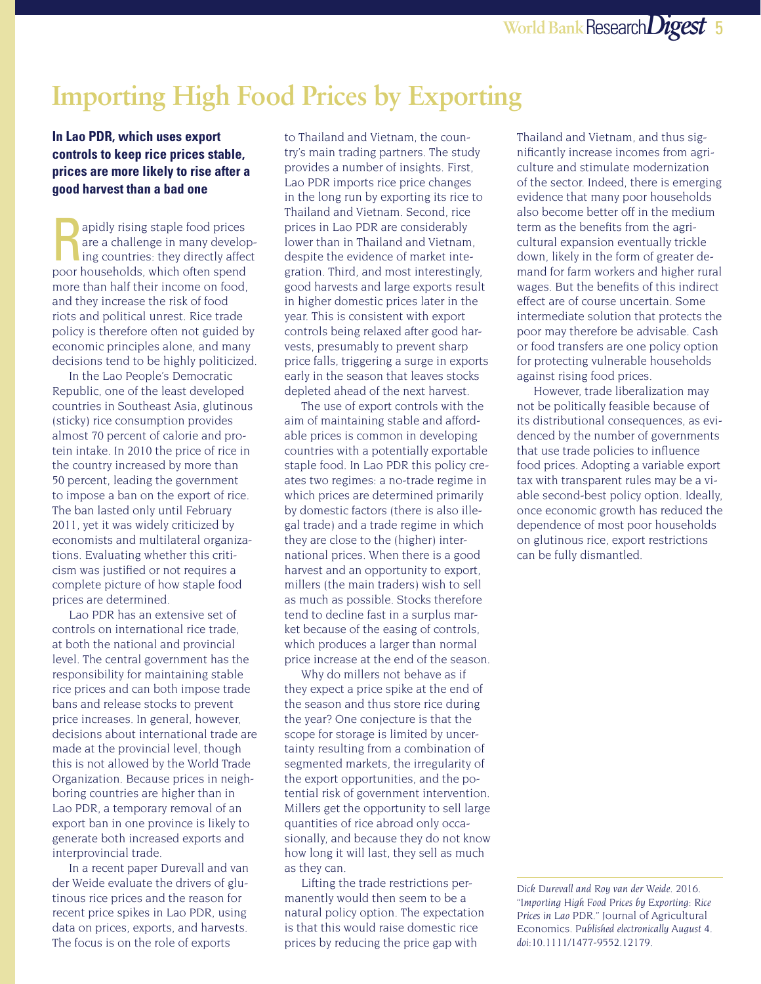# **Importing High Food Prices by Exporting**

#### **In Lao PDR, which uses export controls to keep rice prices stable, prices are more likely to rise after a good harvest than a bad one**

apidly rising staple food prices<br>
are a challenge in many develop-<br>
ing countries: they directly affect<br>
near bougholds which often spand are a challenge in many developpoor households, which often spend more than half their income on food, and they increase the risk of food riots and political unrest. Rice trade policy is therefore often not guided by economic principles alone, and many decisions tend to be highly politicized.

In the Lao People's Democratic Republic, one of the least developed countries in Southeast Asia, glutinous (sticky) rice consumption provides almost 70 percent of calorie and protein intake. In 2010 the price of rice in the country increased by more than 50 percent, leading the government to impose a ban on the export of rice. The ban lasted only until February 2011, yet it was widely criticized by economists and multilateral organizations. Evaluating whether this criticism was justified or not requires a complete picture of how staple food prices are determined.

Lao PDR has an extensive set of controls on international rice trade, at both the national and provincial level. The central government has the responsibility for maintaining stable rice prices and can both impose trade bans and release stocks to prevent price increases. In general, however, decisions about international trade are made at the provincial level, though this is not allowed by the World Trade Organization. Because prices in neighboring countries are higher than in Lao PDR, a temporary removal of an export ban in one province is likely to generate both increased exports and interprovincial trade.

In a recent paper Durevall and van der Weide evaluate the drivers of glutinous rice prices and the reason for recent price spikes in Lao PDR, using data on prices, exports, and harvests. The focus is on the role of exports

to Thailand and Vietnam, the country's main trading partners. The study provides a number of insights. First, Lao PDR imports rice price changes in the long run by exporting its rice to Thailand and Vietnam. Second, rice prices in Lao PDR are considerably lower than in Thailand and Vietnam, despite the evidence of market integration. Third, and most interestingly, good harvests and large exports result in higher domestic prices later in the year. This is consistent with export controls being relaxed after good harvests, presumably to prevent sharp price falls, triggering a surge in exports early in the season that leaves stocks depleted ahead of the next harvest.

The use of export controls with the aim of maintaining stable and affordable prices is common in developing countries with a potentially exportable staple food. In Lao PDR this policy creates two regimes: a no-trade regime in which prices are determined primarily by domestic factors (there is also illegal trade) and a trade regime in which they are close to the (higher) international prices. When there is a good harvest and an opportunity to export, millers (the main traders) wish to sell as much as possible. Stocks therefore tend to decline fast in a surplus market because of the easing of controls, which produces a larger than normal price increase at the end of the season.

Why do millers not behave as if they expect a price spike at the end of the season and thus store rice during the year? One conjecture is that the scope for storage is limited by uncertainty resulting from a combination of segmented markets, the irregularity of the export opportunities, and the potential risk of government intervention. Millers get the opportunity to sell large quantities of rice abroad only occasionally, and because they do not know how long it will last, they sell as much as they can.

Lifting the trade restrictions permanently would then seem to be a natural policy option. The expectation is that this would raise domestic rice prices by reducing the price gap with

Thailand and Vietnam, and thus significantly increase incomes from agriculture and stimulate modernization of the sector. Indeed, there is emerging evidence that many poor households also become better off in the medium term as the benefits from the agricultural expansion eventually trickle down, likely in the form of greater demand for farm workers and higher rural wages. But the benefits of this indirect effect are of course uncertain. Some intermediate solution that protects the poor may therefore be advisable. Cash or food transfers are one policy option for protecting vulnerable households against rising food prices.

However, trade liberalization may not be politically feasible because of its distributional consequences, as evidenced by the number of governments that use trade policies to influence food prices. Adopting a variable export tax with transparent rules may be a viable second-best policy option. Ideally, once economic growth has reduced the dependence of most poor households on glutinous rice, export restrictions can be fully dismantled.

*Dick Durevall and Roy van der Weide. 2016. "Importing High Food Prices by Exporting: Rice Prices in Lao PDR."* Journal of Agricultural Economics. *Published electronically August 4. doi:10.1111/1477-9552.12179.*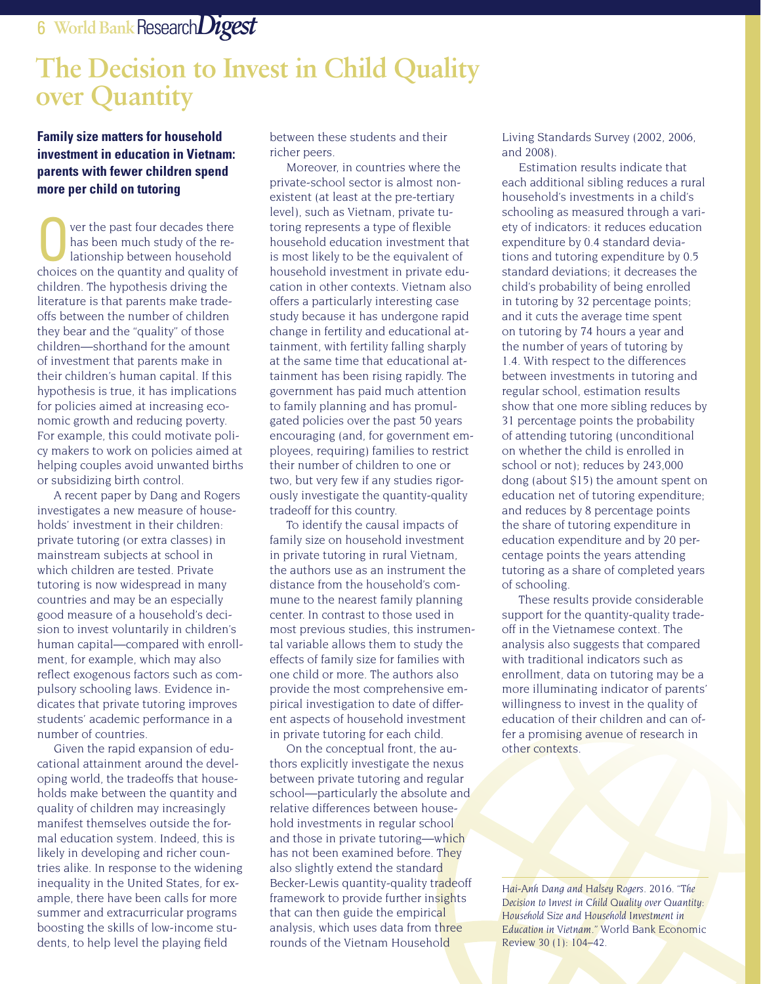#### 6 **World Bank**Research*Digest*

# **The Decision to Invest in Child Quality over Quantity**

**Family size matters for household investment in education in Vietnam: parents with fewer children spend more per child on tutoring**

ver the past four decades there has been much study of the relationship between household choices on the quantity and quality of children. The hypothesis driving the literature is that parents make tradeoffs between the number of children they bear and the "quality" of those children—shorthand for the amount of investment that parents make in their children's human capital. If this hypothesis is true, it has implications for policies aimed at increasing economic growth and reducing poverty. For example, this could motivate policy makers to work on policies aimed at helping couples avoid unwanted births or subsidizing birth control.

A recent paper by Dang and Rogers investigates a new measure of households' investment in their children: private tutoring (or extra classes) in mainstream subjects at school in which children are tested. Private tutoring is now widespread in many countries and may be an especially good measure of a household's decision to invest voluntarily in children's human capital—compared with enrollment, for example, which may also reflect exogenous factors such as compulsory schooling laws. Evidence indicates that private tutoring improves students' academic performance in a number of countries.

Given the rapid expansion of educational attainment around the developing world, the tradeoffs that households make between the quantity and quality of children may increasingly manifest themselves outside the formal education system. Indeed, this is likely in developing and richer countries alike. In response to the widening inequality in the United States, for example, there have been calls for more summer and extracurricular programs boosting the skills of low-income students, to help level the playing field

between these students and their richer peers.

Moreover, in countries where the private-school sector is almost nonexistent (at least at the pre-tertiary level), such as Vietnam, private tutoring represents a type of flexible household education investment that is most likely to be the equivalent of household investment in private education in other contexts. Vietnam also offers a particularly interesting case study because it has undergone rapid change in fertility and educational attainment, with fertility falling sharply at the same time that educational attainment has been rising rapidly. The government has paid much attention to family planning and has promulgated policies over the past 50 years encouraging (and, for government employees, requiring) families to restrict their number of children to one or two, but very few if any studies rigorously investigate the quantity-quality tradeoff for this country.

To identify the causal impacts of family size on household investment in private tutoring in rural Vietnam, the authors use as an instrument the distance from the household's commune to the nearest family planning center. In contrast to those used in most previous studies, this instrumental variable allows them to study the effects of family size for families with one child or more. The authors also provide the most comprehensive empirical investigation to date of different aspects of household investment in private tutoring for each child.

On the conceptual front, the authors explicitly investigate the nexus between private tutoring and regular school—particularly the absolute and relative differences between household investments in regular school and those in private tutoring—which has not been examined before. They also slightly extend the standard Becker-Lewis quantity-quality tradeoff framework to provide further insights that can then guide the empirical analysis, which uses data from three rounds of the Vietnam Household

Living Standards Survey (2002, 2006, and 2008).

Estimation results indicate that each additional sibling reduces a rural household's investments in a child's schooling as measured through a variety of indicators: it reduces education expenditure by 0.4 standard deviations and tutoring expenditure by 0.5 standard deviations; it decreases the child's probability of being enrolled in tutoring by 32 percentage points; and it cuts the average time spent on tutoring by 74 hours a year and the number of years of tutoring by 1.4. With respect to the differences between investments in tutoring and regular school, estimation results show that one more sibling reduces by 31 percentage points the probability of attending tutoring (unconditional on whether the child is enrolled in school or not); reduces by 243,000 dong (about \$15) the amount spent on education net of tutoring expenditure; and reduces by 8 percentage points the share of tutoring expenditure in education expenditure and by 20 percentage points the years attending tutoring as a share of completed years of schooling.

These results provide considerable support for the quantity-quality tradeoff in the Vietnamese context. The analysis also suggests that compared with traditional indicators such as enrollment, data on tutoring may be a more illuminating indicator of parents' willingness to invest in the quality of education of their children and can offer a promising avenue of research in other contexts.

*Hai-Anh Dang and Halsey Rogers. 2016. "The Decision to Invest in Child Quality over Quantity: Household Size and Household Investment in Education in Vietnam."* World Bank Economic Review *30 (1): 104–42.*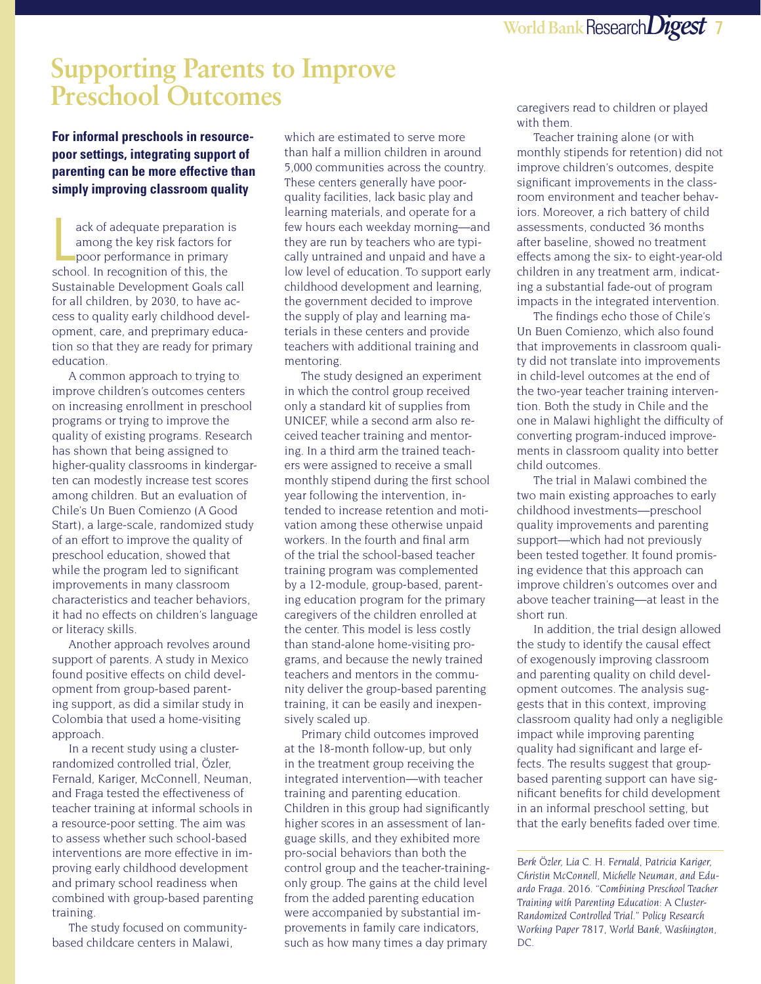### **Supporting Parents to Improve Preschool Outcomes**

**For informal preschools in resourcepoor settings, integrating support of parenting can be more effective than simply improving classroom quality** 

ack of adequate preparation i<br>among the key risk factors for<br>poor performance in primary<br>school. In recognition of this, the ack of adequate preparation is among the key risk factors for poor performance in primary Sustainable Development Goals call for all children, by 2030, to have access to quality early childhood development, care, and preprimary education so that they are ready for primary education.

A common approach to trying to improve children's outcomes centers on increasing enrollment in preschool programs or trying to improve the quality of existing programs. Research has shown that being assigned to higher-quality classrooms in kindergarten can modestly increase test scores among children. But an evaluation of Chile's Un Buen Comienzo (A Good Start), a large-scale, randomized study of an effort to improve the quality of preschool education, showed that while the program led to significant improvements in many classroom characteristics and teacher behaviors, it had no effects on children's language or literacy skills.

Another approach revolves around support of parents. A study in Mexico found positive effects on child development from group-based parenting support, as did a similar study in Colombia that used a home-visiting approach.

In a recent study using a clusterrandomized controlled trial, Özler, Fernald, Kariger, McConnell, Neuman, and Fraga tested the effectiveness of teacher training at informal schools in a resource-poor setting. The aim was to assess whether such school-based interventions are more effective in improving early childhood development and primary school readiness when combined with group-based parenting training.

The study focused on communitybased childcare centers in Malawi,

which are estimated to serve more than half a million children in around 5,000 communities across the country. These centers generally have poorquality facilities, lack basic play and learning materials, and operate for a few hours each weekday morning—and they are run by teachers who are typically untrained and unpaid and have a low level of education. To support early childhood development and learning, the government decided to improve the supply of play and learning materials in these centers and provide teachers with additional training and mentoring.

The study designed an experiment in which the control group received only a standard kit of supplies from UNICEF, while a second arm also received teacher training and mentoring. In a third arm the trained teachers were assigned to receive a small monthly stipend during the first school year following the intervention, intended to increase retention and motivation among these otherwise unpaid workers. In the fourth and final arm of the trial the school-based teacher training program was complemented by a 12-module, group-based, parenting education program for the primary caregivers of the children enrolled at the center. This model is less costly than stand-alone home-visiting programs, and because the newly trained teachers and mentors in the community deliver the group-based parenting training, it can be easily and inexpensively scaled up.

Primary child outcomes improved at the 18-month follow-up, but only in the treatment group receiving the integrated intervention—with teacher training and parenting education. Children in this group had significantly higher scores in an assessment of language skills, and they exhibited more pro-social behaviors than both the control group and the teacher-trainingonly group. The gains at the child level from the added parenting education were accompanied by substantial improvements in family care indicators, such as how many times a day primary

caregivers read to children or played with them.

Teacher training alone (or with monthly stipends for retention) did not improve children's outcomes, despite significant improvements in the classroom environment and teacher behaviors. Moreover, a rich battery of child assessments, conducted 36 months after baseline, showed no treatment effects among the six- to eight-year-old children in any treatment arm, indicating a substantial fade-out of program impacts in the integrated intervention.

The findings echo those of Chile's Un Buen Comienzo, which also found that improvements in classroom quality did not translate into improvements in child-level outcomes at the end of the two-year teacher training intervention. Both the study in Chile and the one in Malawi highlight the difficulty of converting program-induced improvements in classroom quality into better child outcomes.

The trial in Malawi combined the two main existing approaches to early childhood investments—preschool quality improvements and parenting support—which had not previously been tested together. It found promising evidence that this approach can improve children's outcomes over and above teacher training—at least in the short run.

In addition, the trial design allowed the study to identify the causal effect of exogenously improving classroom and parenting quality on child development outcomes. The analysis suggests that in this context, improving classroom quality had only a negligible impact while improving parenting quality had significant and large effects. The results suggest that groupbased parenting support can have significant benefits for child development in an informal preschool setting, but that the early benefits faded over time.

*Berk Özler, Lia C. H. Fernald, Patricia Kariger, Christin McConnell, Michelle Neuman, and Eduardo Fraga. 2016. "Combining Preschool Teacher Training with Parenting Education: A Cluster-Randomized Controlled Trial." Policy Research Working Paper 7817, World Bank, Washington, DC.*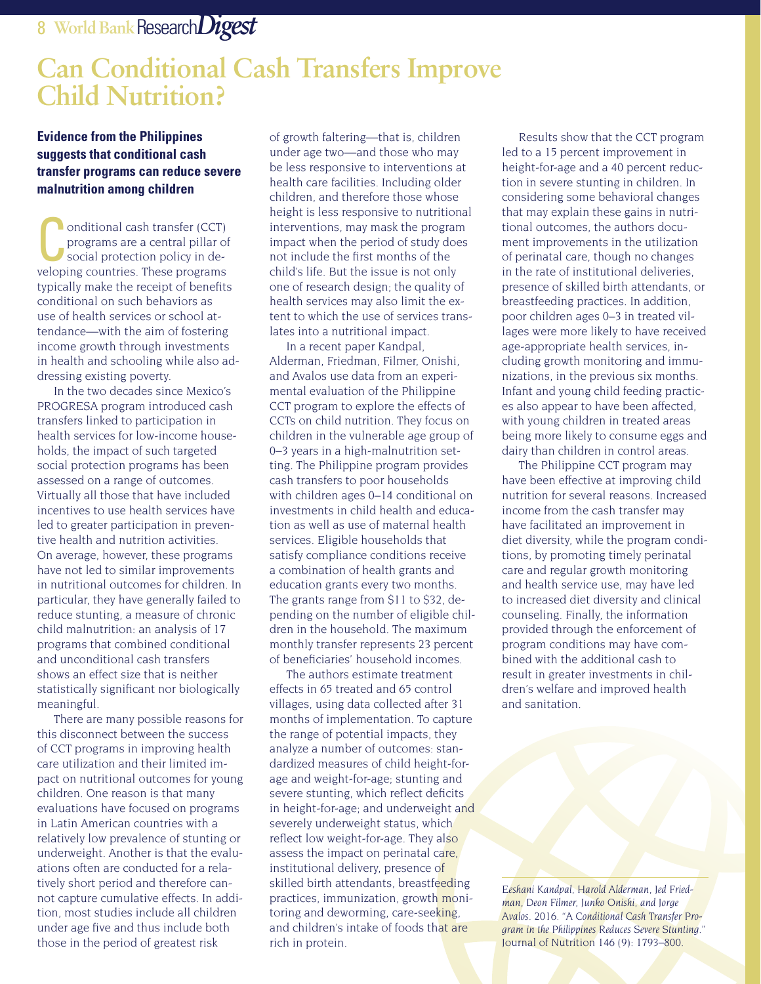### **Can Conditional Cash Transfers Improve Child Nutrition?**

#### **Evidence from the Philippines suggests that conditional cash transfer programs can reduce severe malnutrition among children**

**Conditional cash transfer (CCT)**<br>
programs are a central pillar of<br>
social protection policy in deprograms are a central pillar of veloping countries. These programs typically make the receipt of benefits conditional on such behaviors as use of health services or school attendance—with the aim of fostering income growth through investments in health and schooling while also addressing existing poverty.

In the two decades since Mexico's PROGRESA program introduced cash transfers linked to participation in health services for low-income households, the impact of such targeted social protection programs has been assessed on a range of outcomes. Virtually all those that have included incentives to use health services have led to greater participation in preventive health and nutrition activities. On average, however, these programs have not led to similar improvements in nutritional outcomes for children. In particular, they have generally failed to reduce stunting, a measure of chronic child malnutrition: an analysis of 17 programs that combined conditional and unconditional cash transfers shows an effect size that is neither statistically significant nor biologically meaningful.

There are many possible reasons for this disconnect between the success of CCT programs in improving health care utilization and their limited impact on nutritional outcomes for young children. One reason is that many evaluations have focused on programs in Latin American countries with a relatively low prevalence of stunting or underweight. Another is that the evaluations often are conducted for a relatively short period and therefore cannot capture cumulative effects. In addition, most studies include all children under age five and thus include both those in the period of greatest risk

of growth faltering—that is, children under age two—and those who may be less responsive to interventions at health care facilities. Including older children, and therefore those whose height is less responsive to nutritional interventions, may mask the program impact when the period of study does not include the first months of the child's life. But the issue is not only one of research design; the quality of health services may also limit the extent to which the use of services translates into a nutritional impact.

In a recent paper Kandpal, Alderman, Friedman, Filmer, Onishi, and Avalos use data from an experimental evaluation of the Philippine CCT program to explore the effects of CCTs on child nutrition. They focus on children in the vulnerable age group of 0–3 years in a high-malnutrition setting. The Philippine program provides cash transfers to poor households with children ages 0–14 conditional on investments in child health and education as well as use of maternal health services. Eligible households that satisfy compliance conditions receive a combination of health grants and education grants every two months. The grants range from \$11 to \$32, depending on the number of eligible children in the household. The maximum monthly transfer represents 23 percent of beneficiaries' household incomes.

The authors estimate treatment effects in 65 treated and 65 control villages, using data collected after 31 months of implementation. To capture the range of potential impacts, they analyze a number of outcomes: standardized measures of child height-forage and weight-for-age; stunting and severe stunting, which reflect deficits in height-for-age; and underweight and severely underweight status, which reflect low weight-for-age. They also assess the impact on perinatal care, institutional delivery, presence of skilled birth attendants, breastfeeding practices, immunization, growth monitoring and deworming, care-seeking, and children's intake of foods that are rich in protein.

Results show that the CCT program led to a 15 percent improvement in height-for-age and a 40 percent reduction in severe stunting in children. In considering some behavioral changes that may explain these gains in nutritional outcomes, the authors document improvements in the utilization of perinatal care, though no changes in the rate of institutional deliveries, presence of skilled birth attendants, or breastfeeding practices. In addition, poor children ages 0–3 in treated villages were more likely to have received age-appropriate health services, including growth monitoring and immunizations, in the previous six months. Infant and young child feeding practices also appear to have been affected, with young children in treated areas being more likely to consume eggs and dairy than children in control areas.

The Philippine CCT program may have been effective at improving child nutrition for several reasons. Increased income from the cash transfer may have facilitated an improvement in diet diversity, while the program conditions, by promoting timely perinatal care and regular growth monitoring and health service use, may have led to increased diet diversity and clinical counseling. Finally, the information provided through the enforcement of program conditions may have combined with the additional cash to result in greater investments in children's welfare and improved health and sanitation.

*Eeshani Kandpal, Harold Alderman, Jed Friedman, Deon Filmer, Junko Onishi, and Jorge Avalos. 2016. "A Conditional Cash Transfer Program in the Philippines Reduces Severe Stunting."*  Journal of Nutrition *146 (9): 1793–800.*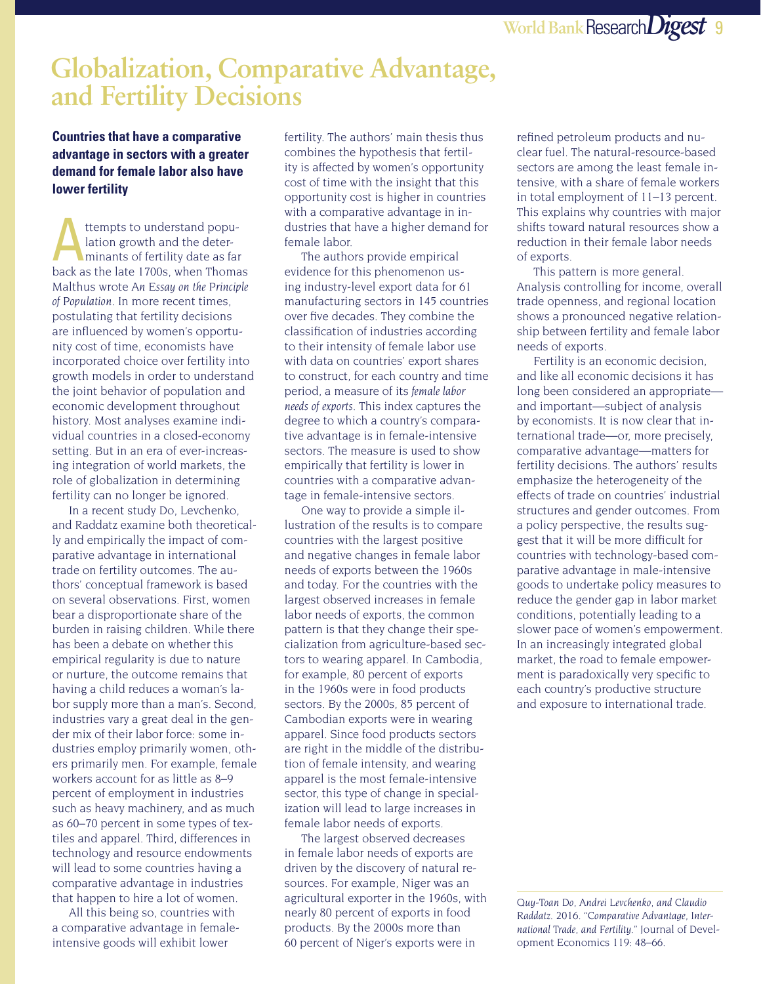#### **Globalization, Comparative Advantage, and Fertility Decisions**

**Countries that have a comparative advantage in sectors with a greater demand for female labor also have lower fertility** 

ttempts to understand population growth and the determinants of fertility date as far back as the late 1700s, when Thomas Malthus wrote *An Essay on the Principle of Population*. In more recent times, postulating that fertility decisions are influenced by women's opportunity cost of time, economists have incorporated choice over fertility into growth models in order to understand the joint behavior of population and economic development throughout history. Most analyses examine individual countries in a closed-economy setting. But in an era of ever-increasing integration of world markets, the role of globalization in determining fertility can no longer be ignored.

In a recent study Do, Levchenko, and Raddatz examine both theoretically and empirically the impact of comparative advantage in international trade on fertility outcomes. The authors' conceptual framework is based on several observations. First, women bear a disproportionate share of the burden in raising children. While there has been a debate on whether this empirical regularity is due to nature or nurture, the outcome remains that having a child reduces a woman's labor supply more than a man's. Second, industries vary a great deal in the gender mix of their labor force: some industries employ primarily women, others primarily men. For example, female workers account for as little as 8–9 percent of employment in industries such as heavy machinery, and as much as 60–70 percent in some types of textiles and apparel. Third, differences in technology and resource endowments will lead to some countries having a comparative advantage in industries that happen to hire a lot of women.

All this being so, countries with a comparative advantage in femaleintensive goods will exhibit lower

fertility. The authors' main thesis thus combines the hypothesis that fertility is affected by women's opportunity cost of time with the insight that this opportunity cost is higher in countries with a comparative advantage in industries that have a higher demand for female labor.

The authors provide empirical evidence for this phenomenon using industry-level export data for 61 manufacturing sectors in 145 countries over five decades. They combine the classification of industries according to their intensity of female labor use with data on countries' export shares to construct, for each country and time period, a measure of its *female labor needs of exports*. This index captures the degree to which a country's comparative advantage is in female-intensive sectors. The measure is used to show empirically that fertility is lower in countries with a comparative advantage in female-intensive sectors.

One way to provide a simple illustration of the results is to compare countries with the largest positive and negative changes in female labor needs of exports between the 1960s and today. For the countries with the largest observed increases in female labor needs of exports, the common pattern is that they change their specialization from agriculture-based sectors to wearing apparel. In Cambodia, for example, 80 percent of exports in the 1960s were in food products sectors. By the 2000s, 85 percent of Cambodian exports were in wearing apparel. Since food products sectors are right in the middle of the distribution of female intensity, and wearing apparel is the most female-intensive sector, this type of change in specialization will lead to large increases in female labor needs of exports.

The largest observed decreases in female labor needs of exports are driven by the discovery of natural resources. For example, Niger was an agricultural exporter in the 1960s, with nearly 80 percent of exports in food products. By the 2000s more than 60 percent of Niger's exports were in

refined petroleum products and nuclear fuel. The natural-resource-based sectors are among the least female intensive, with a share of female workers in total employment of 11–13 percent. This explains why countries with major shifts toward natural resources show a reduction in their female labor needs of exports.

This pattern is more general. Analysis controlling for income, overall trade openness, and regional location shows a pronounced negative relationship between fertility and female labor needs of exports.

Fertility is an economic decision, and like all economic decisions it has long been considered an appropriate and important—subject of analysis by economists. It is now clear that international trade—or, more precisely, comparative advantage—matters for fertility decisions. The authors' results emphasize the heterogeneity of the effects of trade on countries' industrial structures and gender outcomes. From a policy perspective, the results suggest that it will be more difficult for countries with technology-based comparative advantage in male-intensive goods to undertake policy measures to reduce the gender gap in labor market conditions, potentially leading to a slower pace of women's empowerment. In an increasingly integrated global market, the road to female empowerment is paradoxically very specific to each country's productive structure and exposure to international trade.

*Quy-Toan Do, Andrei Levchenko, and Claudio Raddatz. 2016. "Comparative Advantage, International Trade, and Fertility."* Journal of Development Economics *119: 48–66.*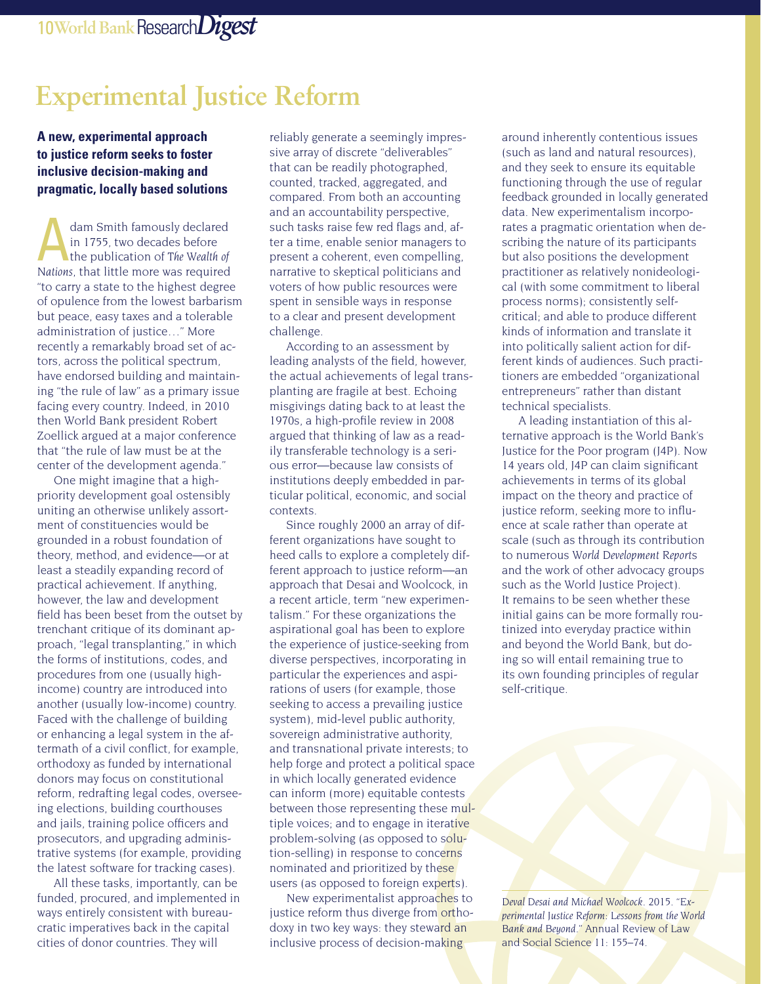# **Experimental Justice Reform**

#### **A new, experimental approach to justice reform seeks to foster inclusive decision-making and pragmatic, locally based solutions**

dam Smith famously declared<br>in 1755, two decades before<br>the publication of *The Wealth of*<br>Nations that little more west required in 1755, two decades before *Nations*, that little more was required "to carry a state to the highest degree of opulence from the lowest barbarism but peace, easy taxes and a tolerable administration of justice…" More recently a remarkably broad set of actors, across the political spectrum, have endorsed building and maintaining "the rule of law" as a primary issue facing every country. Indeed, in 2010 then World Bank president Robert Zoellick argued at a major conference that "the rule of law must be at the center of the development agenda."

One might imagine that a highpriority development goal ostensibly uniting an otherwise unlikely assortment of constituencies would be grounded in a robust foundation of theory, method, and evidence—or at least a steadily expanding record of practical achievement. If anything, however, the law and development field has been beset from the outset by trenchant critique of its dominant approach, "legal transplanting," in which the forms of institutions, codes, and procedures from one (usually highincome) country are introduced into another (usually low-income) country. Faced with the challenge of building or enhancing a legal system in the aftermath of a civil conflict, for example, orthodoxy as funded by international donors may focus on constitutional reform, redrafting legal codes, overseeing elections, building courthouses and jails, training police officers and prosecutors, and upgrading administrative systems (for example, providing the latest software for tracking cases).

All these tasks, importantly, can be funded, procured, and implemented in ways entirely consistent with bureaucratic imperatives back in the capital cities of donor countries. They will

reliably generate a seemingly impressive array of discrete "deliverables" that can be readily photographed, counted, tracked, aggregated, and compared. From both an accounting and an accountability perspective, such tasks raise few red flags and, after a time, enable senior managers to present a coherent, even compelling, narrative to skeptical politicians and voters of how public resources were spent in sensible ways in response to a clear and present development challenge.

According to an assessment by leading analysts of the field, however, the actual achievements of legal transplanting are fragile at best. Echoing misgivings dating back to at least the 1970s, a high-profile review in 2008 argued that thinking of law as a readily transferable technology is a serious error—because law consists of institutions deeply embedded in particular political, economic, and social contexts.

Since roughly 2000 an array of different organizations have sought to heed calls to explore a completely different approach to justice reform—an approach that Desai and Woolcock, in a recent article, term "new experimentalism." For these organizations the aspirational goal has been to explore the experience of justice-seeking from diverse perspectives, incorporating in particular the experiences and aspirations of users (for example, those seeking to access a prevailing justice system), mid-level public authority, sovereign administrative authority, and transnational private interests; to help forge and protect a political space in which locally generated evidence can inform (more) equitable contests between those representing these multiple voices; and to engage in iterative problem-solving (as opposed to solution-selling) in response to concerns nominated and prioritized by these users (as opposed to foreign experts).

New experimentalist approaches to justice reform thus diverge from orthodoxy in two key ways: they steward an inclusive process of decision-making

around inherently contentious issues (such as land and natural resources), and they seek to ensure its equitable functioning through the use of regular feedback grounded in locally generated data. New experimentalism incorporates a pragmatic orientation when describing the nature of its participants but also positions the development practitioner as relatively nonideological (with some commitment to liberal process norms); consistently selfcritical; and able to produce different kinds of information and translate it into politically salient action for different kinds of audiences. Such practitioners are embedded "organizational entrepreneurs" rather than distant technical specialists.

A leading instantiation of this alternative approach is the World Bank's Justice for the Poor program (J4P). Now 14 years old, J4P can claim significant achievements in terms of its global impact on the theory and practice of justice reform, seeking more to influence at scale rather than operate at scale (such as through its contribution to numerous *World Development Report*s and the work of other advocacy groups such as the World Justice Project). It remains to be seen whether these initial gains can be more formally routinized into everyday practice within and beyond the World Bank, but doing so will entail remaining true to its own founding principles of regular self-critique.

*Deval Desai and Michael Woolcock. 2015. "Experimental Justice Reform: Lessons from the World Bank and Beyond."* Annual Review of Law and Social Science *11: 155–74.*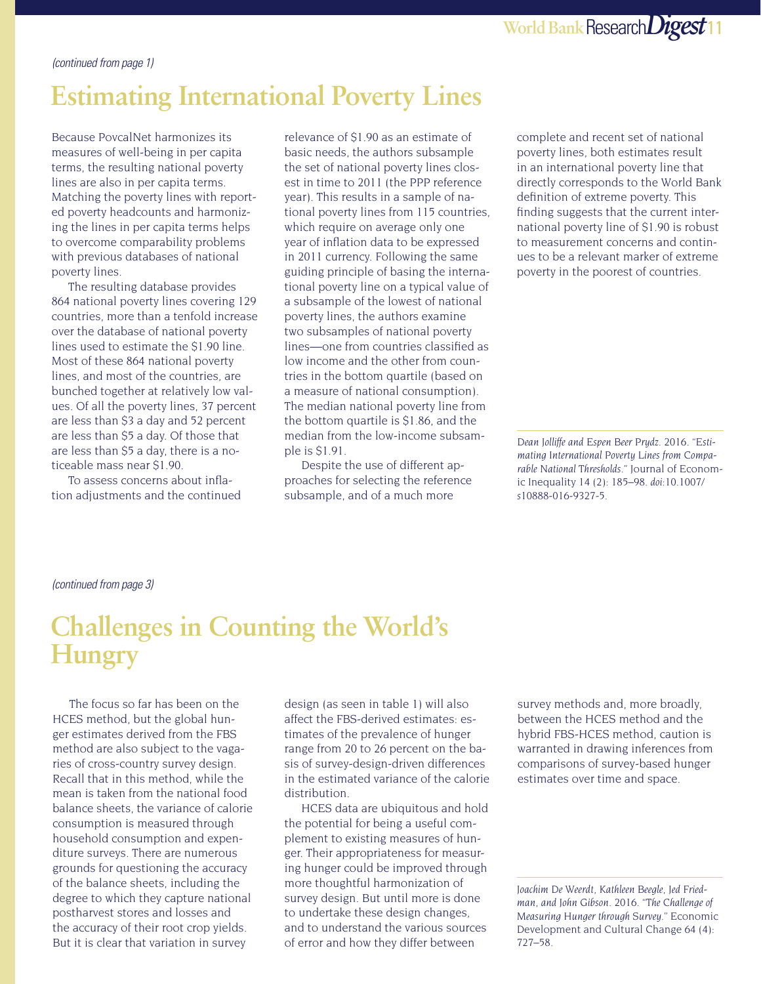#### *(continued from page 1)*

# **Estimating International Poverty Lines**

Because PovcalNet harmonizes its measures of well-being in per capita terms, the resulting national poverty lines are also in per capita terms. Matching the poverty lines with reported poverty headcounts and harmonizing the lines in per capita terms helps to overcome comparability problems with previous databases of national poverty lines.

The resulting database provides 864 national poverty lines covering 129 countries, more than a tenfold increase over the database of national poverty lines used to estimate the \$1.90 line. Most of these 864 national poverty lines, and most of the countries, are bunched together at relatively low values. Of all the poverty lines, 37 percent are less than \$3 a day and 52 percent are less than \$5 a day. Of those that are less than \$5 a day, there is a noticeable mass near \$1.90.

To assess concerns about inflation adjustments and the continued relevance of \$1.90 as an estimate of basic needs, the authors subsample the set of national poverty lines closest in time to 2011 (the PPP reference year). This results in a sample of national poverty lines from 115 countries, which require on average only one year of inflation data to be expressed in 2011 currency. Following the same guiding principle of basing the international poverty line on a typical value of a subsample of the lowest of national poverty lines, the authors examine two subsamples of national poverty lines—one from countries classified as low income and the other from countries in the bottom quartile (based on a measure of national consumption). The median national poverty line from the bottom quartile is \$1.86, and the median from the low-income subsample is \$1.91.

Despite the use of different approaches for selecting the reference subsample, and of a much more

complete and recent set of national poverty lines, both estimates result in an international poverty line that directly corresponds to the World Bank definition of extreme poverty. This finding suggests that the current international poverty line of \$1.90 is robust to measurement concerns and continues to be a relevant marker of extreme poverty in the poorest of countries.

*Dean Jolliffe and Espen Beer Prydz. 2016. "Estimating International Poverty Lines from Comparable National Thresholds."* Journal of Economic Inequality *14 (2): 185–98. doi:10.1007/ s10888-016-9327-5.*

#### *(continued from page 3)*

## **Challenges in Counting the World's Hungry**

The focus so far has been on the HCES method, but the global hunger estimates derived from the FBS method are also subject to the vagaries of cross-country survey design. Recall that in this method, while the mean is taken from the national food balance sheets, the variance of calorie consumption is measured through household consumption and expenditure surveys. There are numerous grounds for questioning the accuracy of the balance sheets, including the degree to which they capture national postharvest stores and losses and the accuracy of their root crop yields. But it is clear that variation in survey

design (as seen in table 1) will also affect the FBS-derived estimates: estimates of the prevalence of hunger range from 20 to 26 percent on the basis of survey-design-driven differences in the estimated variance of the calorie distribution.

HCES data are ubiquitous and hold the potential for being a useful complement to existing measures of hunger. Their appropriateness for measuring hunger could be improved through more thoughtful harmonization of survey design. But until more is done to undertake these design changes, and to understand the various sources of error and how they differ between

survey methods and, more broadly, between the HCES method and the hybrid FBS-HCES method, caution is warranted in drawing inferences from comparisons of survey-based hunger estimates over time and space.

*Joachim De Weerdt, Kathleen Beegle, Jed Friedman, and John Gibson. 2016. "The Challenge of Measuring Hunger through Survey."* Economic Development and Cultural Change *64 (4): 727–58.*